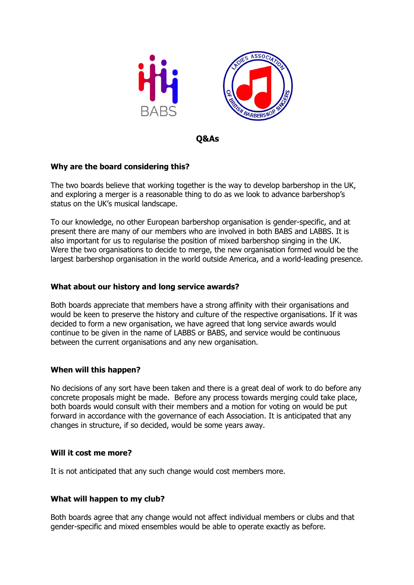

**Q&As** 

# **Why are the board considering this?**

The two boards believe that working together is the way to develop barbershop in the UK, and exploring a merger is a reasonable thing to do as we look to advance barbershop's status on the UK's musical landscape.

To our knowledge, no other European barbershop organisation is gender-specific, and at present there are many of our members who are involved in both BABS and LABBS. It is also important for us to regularise the position of mixed barbershop singing in the UK. Were the two organisations to decide to merge, the new organisation formed would be the largest barbershop organisation in the world outside America, and a world-leading presence.

### **What about our history and long service awards?**

Both boards appreciate that members have a strong affinity with their organisations and would be keen to preserve the history and culture of the respective organisations. If it was decided to form a new organisation, we have agreed that long service awards would continue to be given in the name of LABBS or BABS, and service would be continuous between the current organisations and any new organisation.

# **When will this happen?**

No decisions of any sort have been taken and there is a great deal of work to do before any concrete proposals might be made. Before any process towards merging could take place, both boards would consult with their members and a motion for voting on would be put forward in accordance with the governance of each Association. It is anticipated that any changes in structure, if so decided, would be some years away.

### **Will it cost me more?**

It is not anticipated that any such change would cost members more.

# **What will happen to my club?**

Both boards agree that any change would not affect individual members or clubs and that gender-specific and mixed ensembles would be able to operate exactly as before.